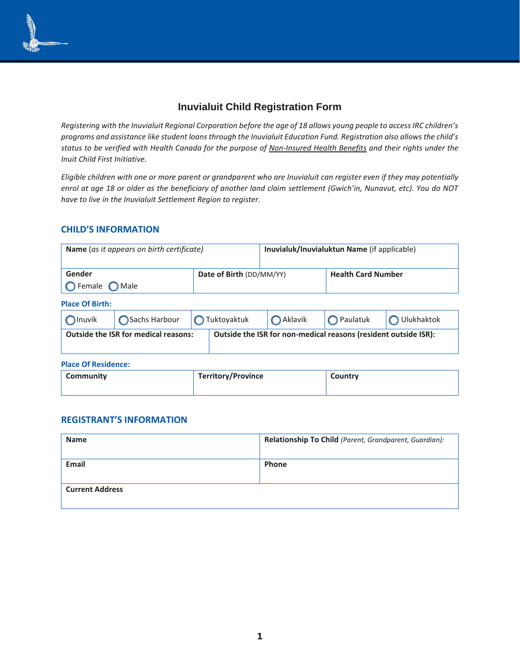

# **Inuvialuit Child Registration Form**

*Registering with the Inuvialuit Regional Corporation before the age of 18 allows young people to access IRC children's programs and assistance like student loans through the Inuvialuit Education Fund. Registration also allows the child's status to be verified with Health Canada for the purpose of [Non-Insured Health Benefits](https://www.sac-isc.gc.ca/eng/1572537161086/1572537234517) and their rights under the Inuit Child First Initiative.*

*Eligible children with one or more parent or grandparent who are Inuvialuit can register even if they may potentially enrol at age 18 or older as the beneficiary of another land claim settlement (Gwich'in, Nunavut, etc). You do NOT have to live in the Inuvialuit Settlement Region to register.*

## **CHILD'S INFORMATION**

| Name (as it appears on birth certificate) |                                             |                          | Inuvialuk/Inuvialuktun Name (if applicable)                     |                           |            |  |  |  |
|-------------------------------------------|---------------------------------------------|--------------------------|-----------------------------------------------------------------|---------------------------|------------|--|--|--|
| Gender                                    |                                             | Date of Birth (DD/MM/YY) |                                                                 | <b>Health Card Number</b> |            |  |  |  |
| $\bigcirc$ Female<br><b>O</b> Male        |                                             |                          |                                                                 |                           |            |  |  |  |
| <b>Place Of Birth:</b>                    |                                             |                          |                                                                 |                           |            |  |  |  |
| $\bigcap$ Inuvik                          | Sachs Harbour                               | $\bigcap$ Tuktoyaktuk    | Aklavik                                                         | $\bigcap$ Paulatuk        | Ulukhaktok |  |  |  |
|                                           | <b>Outside the ISR for medical reasons:</b> |                          | Outside the ISR for non-medical reasons (resident outside ISR): |                           |            |  |  |  |

**Place Of Residence:**

| Community | <b>Territory/Province</b> | Country |
|-----------|---------------------------|---------|
|-----------|---------------------------|---------|

#### **REGISTRANT'S INFORMATION**

| <b>Name</b>            | Relationship To Child (Parent, Grandparent, Guardian): |
|------------------------|--------------------------------------------------------|
| <b>Email</b>           | <b>Phone</b>                                           |
| <b>Current Address</b> |                                                        |